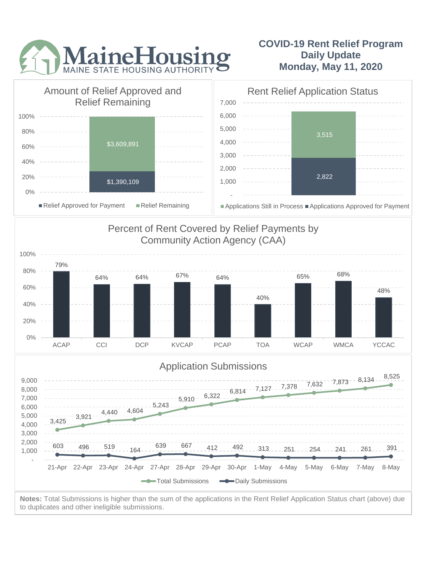

## **COVID-19 Rent Relief Program Daily Update Monday, May 11, 2020**



to duplicates and other ineligible submissions.